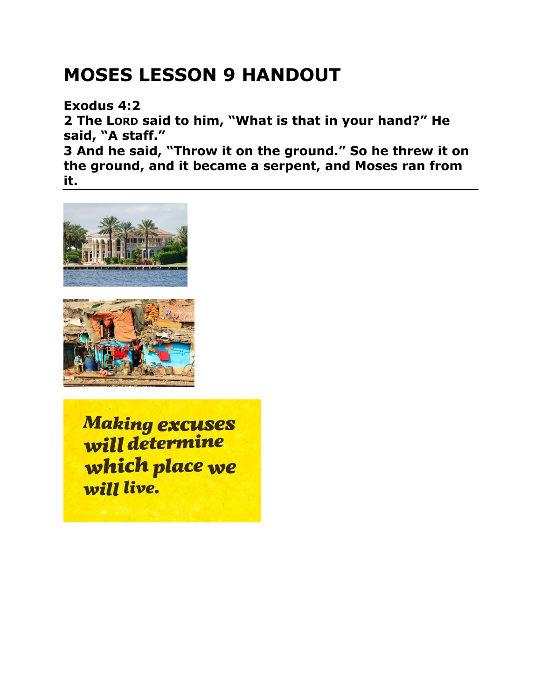## **MOSES LESSON 9 HANDOUT**

**Exodus 4:2** 

**2 The LORD said to him, "What is that in your hand?" He said, "A staff."** 

**3 And he said, "Throw it on the ground." So he threw it on the ground, and it became a serpent, and Moses ran from it.** 





**Making excuses** will determine which place we will live.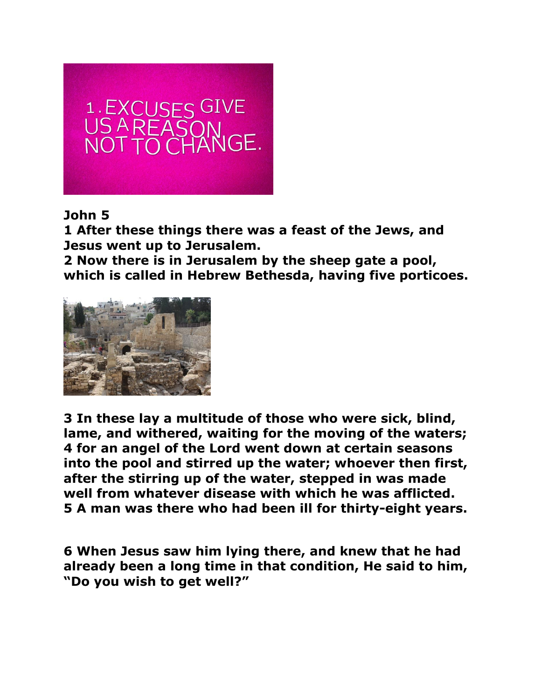

## **John 5**

**1 After these things there was a feast of the Jews, and Jesus went up to Jerusalem.** 

**2 Now there is in Jerusalem by the sheep gate a pool, which is called in Hebrew Bethesda, having five porticoes.** 



**3 In these lay a multitude of those who were sick, blind, lame, and withered, waiting for the moving of the waters; 4 for an angel of the Lord went down at certain seasons into the pool and stirred up the water; whoever then first, after the stirring up of the water, stepped in was made well from whatever disease with which he was afflicted. 5 A man was there who had been ill for thirty-eight years.** 

**6 When Jesus saw him lying there, and knew that he had already been a long time in that condition, He said to him, "Do you wish to get well?"**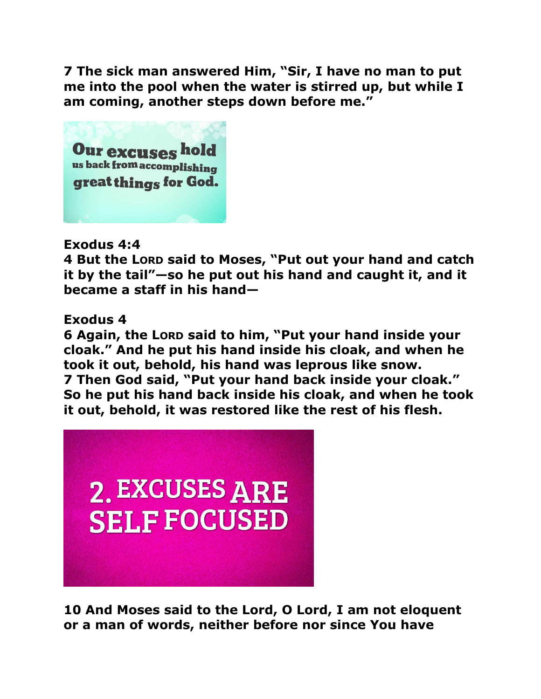**7 The sick man answered Him, "Sir, I have no man to put me into the pool when the water is stirred up, but while I am coming, another steps down before me."** 



## **Exodus 4:4**

**4 But the LORD said to Moses, "Put out your hand and catch it by the tail"—so he put out his hand and caught it, and it became a staff in his hand—** 

## **Exodus 4**

**6 Again, the LORD said to him, "Put your hand inside your cloak." And he put his hand inside his cloak, and when he took it out, behold, his hand was leprous like snow. 7 Then God said, "Put your hand back inside your cloak." So he put his hand back inside his cloak, and when he took it out, behold, it was restored like the rest of his flesh.** 



**10 And Moses said to the Lord, O Lord, I am not eloquent or a man of words, neither before nor since You have**